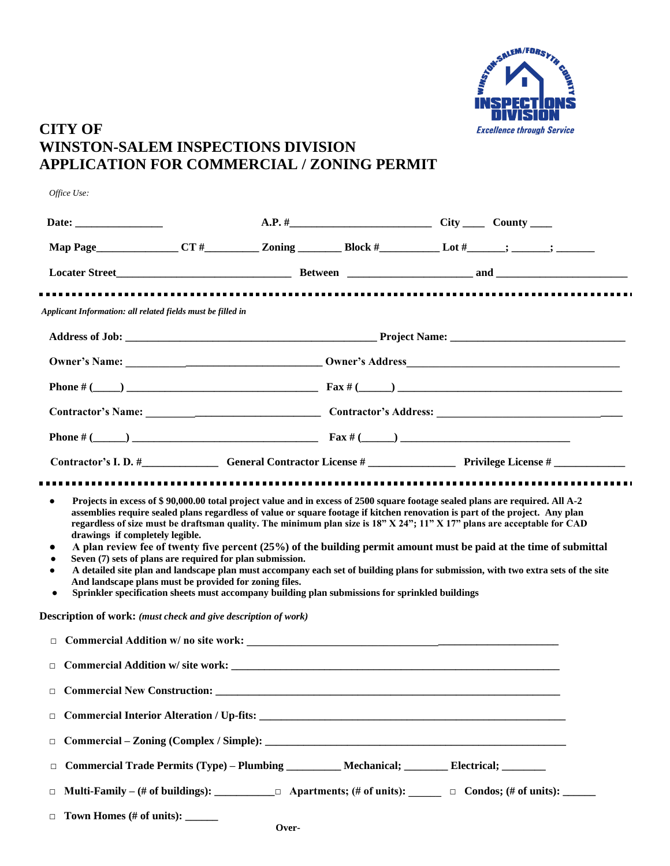

## **CITY OF WINSTON-SALEM INSPECTIONS DIVISION APPLICATION FOR COMMERCIAL / ZONING PERMIT**

| Office Use:                                                    |                                                                                                                     |       |                                                                                                                                                                                                                                                                                                                                                            |  |  |  |  |
|----------------------------------------------------------------|---------------------------------------------------------------------------------------------------------------------|-------|------------------------------------------------------------------------------------------------------------------------------------------------------------------------------------------------------------------------------------------------------------------------------------------------------------------------------------------------------------|--|--|--|--|
| Date: <u>________________________</u>                          |                                                                                                                     |       |                                                                                                                                                                                                                                                                                                                                                            |  |  |  |  |
|                                                                |                                                                                                                     |       |                                                                                                                                                                                                                                                                                                                                                            |  |  |  |  |
|                                                                |                                                                                                                     |       |                                                                                                                                                                                                                                                                                                                                                            |  |  |  |  |
|                                                                |                                                                                                                     |       |                                                                                                                                                                                                                                                                                                                                                            |  |  |  |  |
| Applicant Information: all related fields must be filled in    |                                                                                                                     |       |                                                                                                                                                                                                                                                                                                                                                            |  |  |  |  |
|                                                                |                                                                                                                     |       |                                                                                                                                                                                                                                                                                                                                                            |  |  |  |  |
|                                                                |                                                                                                                     |       |                                                                                                                                                                                                                                                                                                                                                            |  |  |  |  |
|                                                                |                                                                                                                     |       |                                                                                                                                                                                                                                                                                                                                                            |  |  |  |  |
|                                                                |                                                                                                                     |       |                                                                                                                                                                                                                                                                                                                                                            |  |  |  |  |
|                                                                |                                                                                                                     |       |                                                                                                                                                                                                                                                                                                                                                            |  |  |  |  |
|                                                                |                                                                                                                     |       |                                                                                                                                                                                                                                                                                                                                                            |  |  |  |  |
| ٠                                                              | Seven (7) sets of plans are required for plan submission.<br>And landscape plans must be provided for zoning files. |       | A plan review fee of twenty five percent (25%) of the building permit amount must be paid at the time of submittal<br>A detailed site plan and landscape plan must accompany each set of building plans for submission, with two extra sets of the site<br>Sprinkler specification sheets must accompany building plan submissions for sprinkled buildings |  |  |  |  |
| Description of work: (must check and give description of work) |                                                                                                                     |       |                                                                                                                                                                                                                                                                                                                                                            |  |  |  |  |
| $\Box$                                                         |                                                                                                                     |       |                                                                                                                                                                                                                                                                                                                                                            |  |  |  |  |
|                                                                |                                                                                                                     |       |                                                                                                                                                                                                                                                                                                                                                            |  |  |  |  |
| $\Box$                                                         |                                                                                                                     |       |                                                                                                                                                                                                                                                                                                                                                            |  |  |  |  |
| $\Box$                                                         |                                                                                                                     |       |                                                                                                                                                                                                                                                                                                                                                            |  |  |  |  |
| $\Box$                                                         |                                                                                                                     |       |                                                                                                                                                                                                                                                                                                                                                            |  |  |  |  |
| $\Box$                                                         |                                                                                                                     |       | Commercial Trade Permits (Type) - Plumbing __________ Mechanical; ________ Electrical; _______                                                                                                                                                                                                                                                             |  |  |  |  |
| $\Box$                                                         |                                                                                                                     |       | Multi-Family – (# of buildings): $\Box$ Apartments; (# of units): $\Box$ $\Box$ Condos; (# of units): $\Box$                                                                                                                                                                                                                                               |  |  |  |  |
| Town Homes (# of units):<br>$\Box$                             |                                                                                                                     | Over- |                                                                                                                                                                                                                                                                                                                                                            |  |  |  |  |